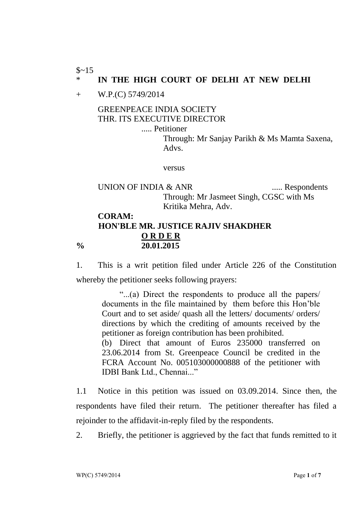$$~15$ 

## \* **IN THE HIGH COURT OF DELHI AT NEW DELHI**

+ W.P.(C) 5749/2014

GREENPEACE INDIA SOCIETY THR. ITS EXECUTIVE DIRECTOR

..... Petitioner

Through: Mr Sanjay Parikh & Ms Mamta Saxena, Advs.

versus

UNION OF INDIA & ANR ...... Respondents Through: Mr Jasmeet Singh, CGSC with Ms Kritika Mehra, Adv.

## **CORAM: HON'BLE MR. JUSTICE RAJIV SHAKDHER O R D E R % 20.01.2015**

1. This is a writ petition filed under Article 226 of the Constitution whereby the petitioner seeks following prayers:

"...(a) Direct the respondents to produce all the papers/ documents in the file maintained by them before this Hon'ble Court and to set aside/ quash all the letters/ documents/ orders/ directions by which the crediting of amounts received by the petitioner as foreign contribution has been prohibited. (b) Direct that amount of Euros 235000 transferred on 23.06.2014 from St. Greenpeace Council be credited in the FCRA Account No. 005103000000888 of the petitioner with IDBI Bank Ltd., Chennai..."

1.1 Notice in this petition was issued on 03.09.2014. Since then, the respondents have filed their return. The petitioner thereafter has filed a rejoinder to the affidavit-in-reply filed by the respondents.

2. Briefly, the petitioner is aggrieved by the fact that funds remitted to it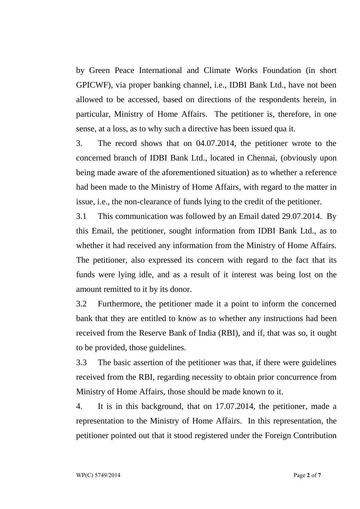by Green Peace International and Climate Works Foundation (in short GPICWF), via proper banking channel, i.e., IDBI Bank Ltd., have not been allowed to be accessed, based on directions of the respondents herein, in particular, Ministry of Home Affairs. The petitioner is, therefore, in one sense, at a loss, as to why such a directive has been issued qua it.

3. The record shows that on 04.07.2014, the petitioner wrote to the concerned branch of IDBI Bank Ltd., located in Chennai, (obviously upon being made aware of the aforementioned situation) as to whether a reference had been made to the Ministry of Home Affairs, with regard to the matter in issue, i.e., the non-clearance of funds lying to the credit of the petitioner.

3.1 This communication was followed by an Email dated 29.07.2014. By this Email, the petitioner, sought information from IDBI Bank Ltd., as to whether it had received any information from the Ministry of Home Affairs. The petitioner, also expressed its concern with regard to the fact that its funds were lying idle, and as a result of it interest was being lost on the amount remitted to it by its donor.

3.2 Furthermore, the petitioner made it a point to inform the concerned bank that they are entitled to know as to whether any instructions had been received from the Reserve Bank of India (RBI), and if, that was so, it ought to be provided, those guidelines.

3.3 The basic assertion of the petitioner was that, if there were guidelines received from the RBI, regarding necessity to obtain prior concurrence from Ministry of Home Affairs, those should be made known to it.

4. It is in this background, that on 17.07.2014, the petitioner, made a representation to the Ministry of Home Affairs. In this representation, the petitioner pointed out that it stood registered under the Foreign Contribution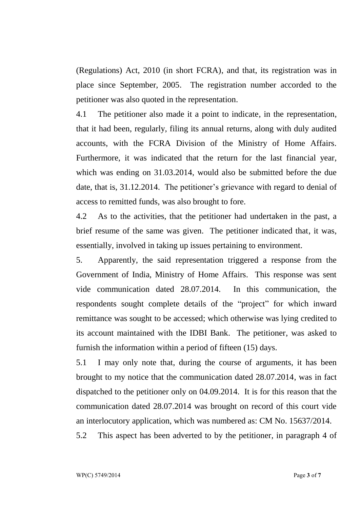(Regulations) Act, 2010 (in short FCRA), and that, its registration was in place since September, 2005. The registration number accorded to the petitioner was also quoted in the representation.

4.1 The petitioner also made it a point to indicate, in the representation, that it had been, regularly, filing its annual returns, along with duly audited accounts, with the FCRA Division of the Ministry of Home Affairs. Furthermore, it was indicated that the return for the last financial year, which was ending on 31.03.2014, would also be submitted before the due date, that is, 31.12.2014. The petitioner's grievance with regard to denial of access to remitted funds, was also brought to fore.

4.2 As to the activities, that the petitioner had undertaken in the past, a brief resume of the same was given. The petitioner indicated that, it was, essentially, involved in taking up issues pertaining to environment.

5. Apparently, the said representation triggered a response from the Government of India, Ministry of Home Affairs. This response was sent vide communication dated 28.07.2014. In this communication, the respondents sought complete details of the "project" for which inward remittance was sought to be accessed; which otherwise was lying credited to its account maintained with the IDBI Bank. The petitioner, was asked to furnish the information within a period of fifteen (15) days.

5.1 I may only note that, during the course of arguments, it has been brought to my notice that the communication dated 28.07.2014, was in fact dispatched to the petitioner only on 04.09.2014. It is for this reason that the communication dated 28.07.2014 was brought on record of this court vide an interlocutory application, which was numbered as: CM No. 15637/2014.

5.2 This aspect has been adverted to by the petitioner, in paragraph 4 of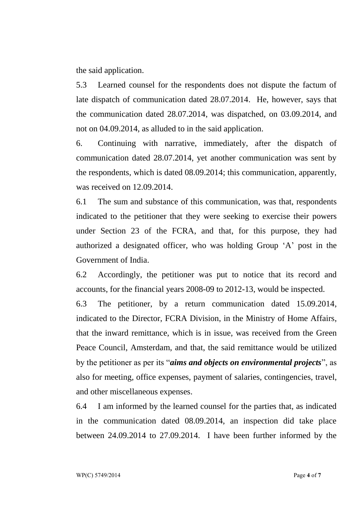the said application.

5.3 Learned counsel for the respondents does not dispute the factum of late dispatch of communication dated 28.07.2014. He, however, says that the communication dated 28.07.2014, was dispatched, on 03.09.2014, and not on 04.09.2014, as alluded to in the said application.

6. Continuing with narrative, immediately, after the dispatch of communication dated 28.07.2014, yet another communication was sent by the respondents, which is dated 08.09.2014; this communication, apparently, was received on 12.09.2014.

6.1 The sum and substance of this communication, was that, respondents indicated to the petitioner that they were seeking to exercise their powers under Section 23 of the FCRA, and that, for this purpose, they had authorized a designated officer, who was holding Group 'A' post in the Government of India.

6.2 Accordingly, the petitioner was put to notice that its record and accounts, for the financial years 2008-09 to 2012-13, would be inspected.

6.3 The petitioner, by a return communication dated 15.09.2014, indicated to the Director, FCRA Division, in the Ministry of Home Affairs, that the inward remittance, which is in issue, was received from the Green Peace Council, Amsterdam, and that, the said remittance would be utilized by the petitioner as per its "*aims and objects on environmental projects*", as also for meeting, office expenses, payment of salaries, contingencies, travel, and other miscellaneous expenses.

6.4 I am informed by the learned counsel for the parties that, as indicated in the communication dated 08.09.2014, an inspection did take place between 24.09.2014 to 27.09.2014. I have been further informed by the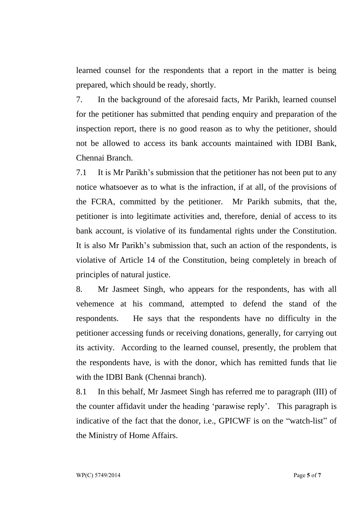learned counsel for the respondents that a report in the matter is being prepared, which should be ready, shortly.

7. In the background of the aforesaid facts, Mr Parikh, learned counsel for the petitioner has submitted that pending enquiry and preparation of the inspection report, there is no good reason as to why the petitioner, should not be allowed to access its bank accounts maintained with IDBI Bank, Chennai Branch.

7.1 It is Mr Parikh's submission that the petitioner has not been put to any notice whatsoever as to what is the infraction, if at all, of the provisions of the FCRA, committed by the petitioner. Mr Parikh submits, that the, petitioner is into legitimate activities and, therefore, denial of access to its bank account, is violative of its fundamental rights under the Constitution. It is also Mr Parikh's submission that, such an action of the respondents, is violative of Article 14 of the Constitution, being completely in breach of principles of natural justice.

8. Mr Jasmeet Singh, who appears for the respondents, has with all vehemence at his command, attempted to defend the stand of the respondents. He says that the respondents have no difficulty in the petitioner accessing funds or receiving donations, generally, for carrying out its activity. According to the learned counsel, presently, the problem that the respondents have, is with the donor, which has remitted funds that lie with the IDBI Bank (Chennai branch).

8.1 In this behalf, Mr Jasmeet Singh has referred me to paragraph (III) of the counter affidavit under the heading 'parawise reply'. This paragraph is indicative of the fact that the donor, i.e., GPICWF is on the "watch-list" of the Ministry of Home Affairs.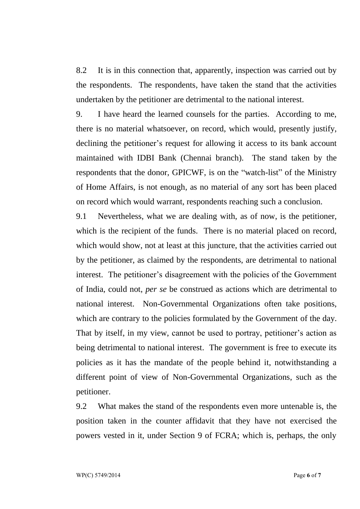8.2 It is in this connection that, apparently, inspection was carried out by the respondents. The respondents, have taken the stand that the activities undertaken by the petitioner are detrimental to the national interest.

9. I have heard the learned counsels for the parties. According to me, there is no material whatsoever, on record, which would, presently justify, declining the petitioner's request for allowing it access to its bank account maintained with IDBI Bank (Chennai branch). The stand taken by the respondents that the donor, GPICWF, is on the "watch-list" of the Ministry of Home Affairs, is not enough, as no material of any sort has been placed on record which would warrant, respondents reaching such a conclusion.

9.1 Nevertheless, what we are dealing with, as of now, is the petitioner, which is the recipient of the funds. There is no material placed on record, which would show, not at least at this juncture, that the activities carried out by the petitioner, as claimed by the respondents, are detrimental to national interest. The petitioner's disagreement with the policies of the Government of India, could not, *per se* be construed as actions which are detrimental to national interest. Non-Governmental Organizations often take positions, which are contrary to the policies formulated by the Government of the day. That by itself, in my view, cannot be used to portray, petitioner's action as being detrimental to national interest. The government is free to execute its policies as it has the mandate of the people behind it, notwithstanding a different point of view of Non-Governmental Organizations, such as the petitioner.

9.2 What makes the stand of the respondents even more untenable is, the position taken in the counter affidavit that they have not exercised the powers vested in it, under Section 9 of FCRA; which is, perhaps, the only